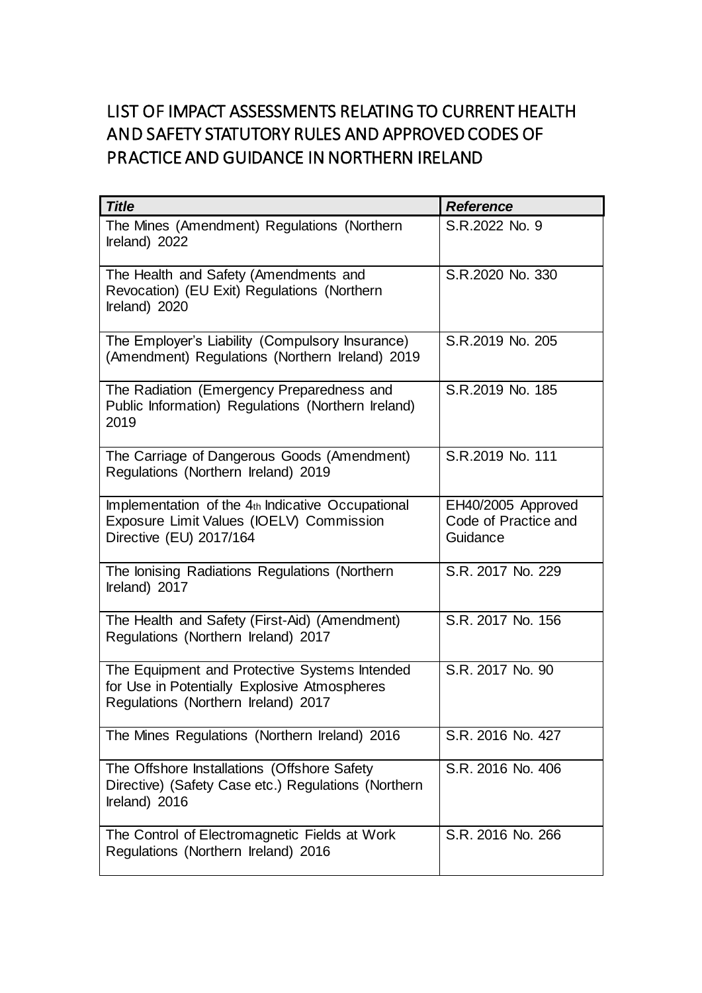## LIST OF IMPACT ASSESSMENTS RELATING TO CURRENT HEALTH AND SAFETY STATUTORY RULES AND APPROVED CODES OF PRACTICE AND GUIDANCE IN NORTHERN IRELAND

| <b>Title</b>                                                                                                                         | <b>Reference</b>                                       |
|--------------------------------------------------------------------------------------------------------------------------------------|--------------------------------------------------------|
| The Mines (Amendment) Regulations (Northern<br>Ireland) 2022                                                                         | S.R.2022 No. 9                                         |
| The Health and Safety (Amendments and<br>Revocation) (EU Exit) Regulations (Northern<br>Ireland) 2020                                | S.R.2020 No. 330                                       |
| The Employer's Liability (Compulsory Insurance)<br>(Amendment) Regulations (Northern Ireland) 2019                                   | S.R.2019 No. 205                                       |
| The Radiation (Emergency Preparedness and<br>Public Information) Regulations (Northern Ireland)<br>2019                              | S.R.2019 No. 185                                       |
| The Carriage of Dangerous Goods (Amendment)<br>Regulations (Northern Ireland) 2019                                                   | S.R.2019 No. 111                                       |
| Implementation of the 4th Indicative Occupational<br>Exposure Limit Values (IOELV) Commission<br>Directive (EU) 2017/164             | EH40/2005 Approved<br>Code of Practice and<br>Guidance |
| The lonising Radiations Regulations (Northern<br>Ireland) 2017                                                                       | S.R. 2017 No. 229                                      |
| The Health and Safety (First-Aid) (Amendment)<br>Regulations (Northern Ireland) 2017                                                 | S.R. 2017 No. 156                                      |
| The Equipment and Protective Systems Intended<br>for Use in Potentially Explosive Atmospheres<br>Regulations (Northern Ireland) 2017 | S.R. 2017 No. 90                                       |
| The Mines Regulations (Northern Ireland) 2016                                                                                        | S.R. 2016 No. 427                                      |
| The Offshore Installations (Offshore Safety<br>Directive) (Safety Case etc.) Regulations (Northern<br>Ireland) 2016                  | S.R. 2016 No. 406                                      |
| The Control of Electromagnetic Fields at Work<br>Regulations (Northern Ireland) 2016                                                 | S.R. 2016 No. 266                                      |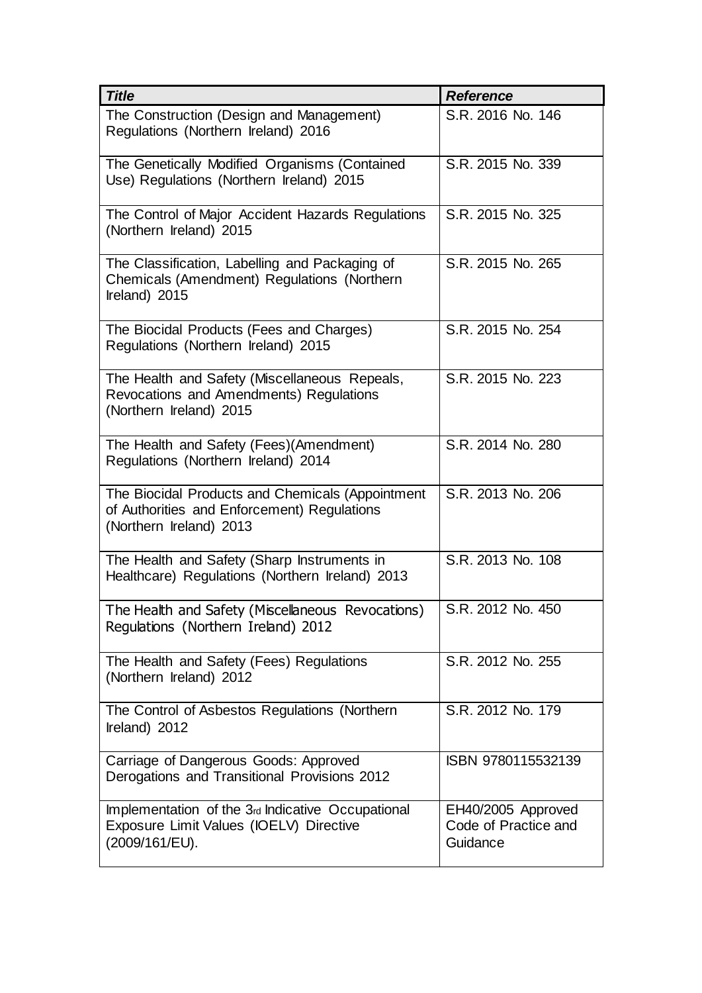| <b>Title</b>                                                                                                               | <b>Reference</b>                                       |
|----------------------------------------------------------------------------------------------------------------------------|--------------------------------------------------------|
| The Construction (Design and Management)<br>Regulations (Northern Ireland) 2016                                            | S.R. 2016 No. 146                                      |
| The Genetically Modified Organisms (Contained<br>Use) Regulations (Northern Ireland) 2015                                  | S.R. 2015 No. 339                                      |
| The Control of Major Accident Hazards Regulations<br>(Northern Ireland) 2015                                               | S.R. 2015 No. 325                                      |
| The Classification, Labelling and Packaging of<br>Chemicals (Amendment) Regulations (Northern<br>Ireland) 2015             | S.R. 2015 No. 265                                      |
| The Biocidal Products (Fees and Charges)<br>Regulations (Northern Ireland) 2015                                            | S.R. 2015 No. 254                                      |
| The Health and Safety (Miscellaneous Repeals,<br>Revocations and Amendments) Regulations<br>(Northern Ireland) 2015        | S.R. 2015 No. 223                                      |
| The Health and Safety (Fees)(Amendment)<br>Regulations (Northern Ireland) 2014                                             | S.R. 2014 No. 280                                      |
| The Biocidal Products and Chemicals (Appointment<br>of Authorities and Enforcement) Regulations<br>(Northern Ireland) 2013 | S.R. 2013 No. 206                                      |
| The Health and Safety (Sharp Instruments in<br>Healthcare) Regulations (Northern Ireland) 2013                             | S.R. 2013 No. 108                                      |
| The Health and Safety (Miscellaneous Revocations)<br>Regulations (Northern Ireland) 2012                                   | S.R. 2012 No. 450                                      |
| The Health and Safety (Fees) Regulations<br>(Northern Ireland) 2012                                                        | S.R. 2012 No. 255                                      |
| The Control of Asbestos Regulations (Northern<br>Ireland) 2012                                                             | S.R. 2012 No. 179                                      |
| Carriage of Dangerous Goods: Approved<br>Derogations and Transitional Provisions 2012                                      | ISBN 9780115532139                                     |
| Implementation of the 3rd Indicative Occupational<br>Exposure Limit Values (IOELV) Directive<br>(2009/161/EU).             | EH40/2005 Approved<br>Code of Practice and<br>Guidance |